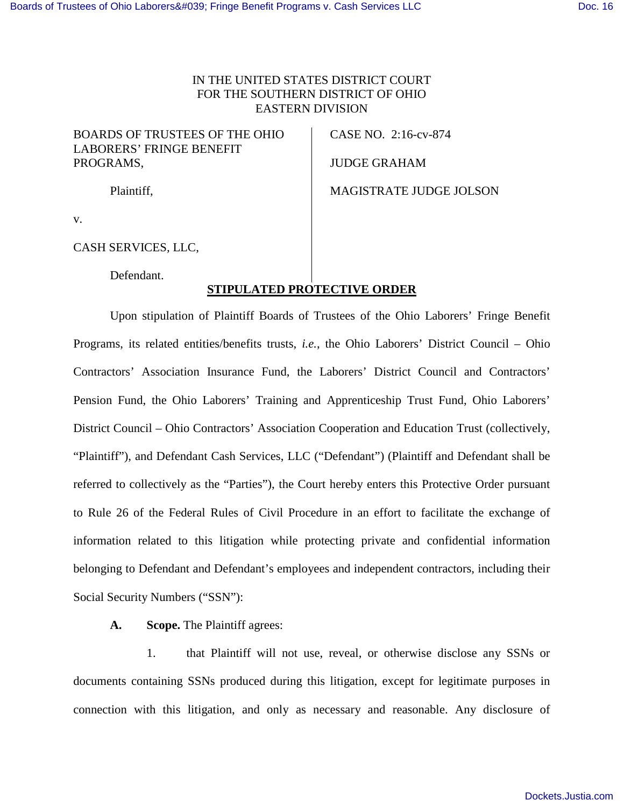## IN THE UNITED STATES DISTRICT COURT FOR THE SOUTHERN DISTRICT OF OHIO EASTERN DIVISION

BOARDS OF TRUSTEES OF THE OHIO LABORERS' FRINGE BENEFIT PROGRAMS,

CASE NO. 2:16-cv-874

JUDGE GRAHAM

Plaintiff,

MAGISTRATE JUDGE JOLSON

v.

CASH SERVICES*,* LLC,

Defendant.

## **STIPULATED PROTECTIVE ORDER**

Upon stipulation of Plaintiff Boards of Trustees of the Ohio Laborers' Fringe Benefit Programs, its related entities/benefits trusts, *i.e.*, the Ohio Laborers' District Council – Ohio Contractors' Association Insurance Fund, the Laborers' District Council and Contractors' Pension Fund, the Ohio Laborers' Training and Apprenticeship Trust Fund, Ohio Laborers' District Council – Ohio Contractors' Association Cooperation and Education Trust (collectively, "Plaintiff"), and Defendant Cash Services, LLC ("Defendant") (Plaintiff and Defendant shall be referred to collectively as the "Parties"), the Court hereby enters this Protective Order pursuant to Rule 26 of the Federal Rules of Civil Procedure in an effort to facilitate the exchange of information related to this litigation while protecting private and confidential information belonging to Defendant and Defendant's employees and independent contractors, including their Social Security Numbers ("SSN"):

**A. Scope.** The Plaintiff agrees:

 1. that Plaintiff will not use, reveal, or otherwise disclose any SSNs or documents containing SSNs produced during this litigation, except for legitimate purposes in connection with this litigation, and only as necessary and reasonable. Any disclosure of